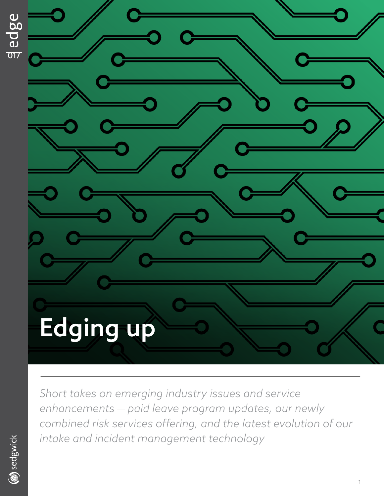

*Short takes on emerging industry issues and service enhancements — paid leave program updates, our newly combined risk services offering, and the latest evolution of our intake and incident management technology*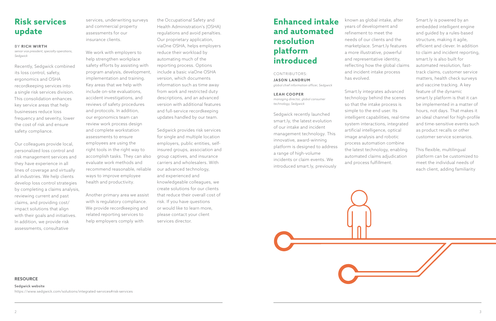# **Risk services update**

## BY **RICH WIRTH**

*senior vice president, specialty operations, Sedgwick*

Recently, Sedgwick combined its loss control, safety, ergonomics and OSHA recordkeeping services into a single risk services division. This consolidation enhances key service areas that help businesses reduce loss frequency and severity, lower the cost of risk and ensure safety compliance.

Our colleagues provide local, personalized loss control and risk management services and they have experience in all lines of coverage and virtually all industries. We help clients develop loss control strategies by completing a claims analysis, reviewing current and past claims, and providing cost/ impact solutions that align with their goals and initiatives. In addition, we provide risk assessments, consultative

services, underwriting surveys and commercial property assessments for our insurance clients.

We work with employers to help strengthen workplace safety efforts by assisting with program analysis, development, implementation and training. Key areas that we help with include on-site evaluations, accident investigations, and reviews of safety procedures and protocols. In addition, our ergonomics team can review work process design and complete workstation assessments to ensure employees are using the right tools in the right way to accomplish tasks. They can also evaluate work methods and recommend reasonable, reliable ways to improve employee health and productivity.

Another primary area we assist with is regulatory compliance. We provide recordkeeping and related reporting services to help employers comply with

the Occupational Safety and Health Administration's (OSHA) regulations and avoid penalties. Our proprietary application, viaOne OSHA, helps employers reduce their workload by automating much of the reporting process. Options include a basic viaOne OSHA version, which documents information such as time away from work and restricted duty descriptions, and an advanced version with additional features and full-service recordkeeping updates handled by our team.

Sedgwick website https://www.sedgwick.com/solutions/integrated-services#risk-services

Sedgwick provides risk services for single and multiple location employers, public entities, selfinsured groups, association and group captives, and insurance carriers and wholesalers. With our advanced technology, and experienced and knowledgeable colleagues, we create solutions for our clients that reduce their overall cost of risk. If you have questions or would like to learn more, please contact your client services director.

# **Enhanced intake and automated resolution platform introduced**

# CONTRIBUTORS:

**JASON LANDRUM** *global chief information officer, Sedgwick*

### **LEAH COOPER**

*managing director, global consumer technology, Sedgwick*

Sedgwick recently launched smart.ly, the latest evolution of our intake and incident management technology. This innovative, award-winning platform is designed to address a range of high-volume incidents or claim events. We introduced smart.ly, previously

known as global intake, after years of development and refinement to meet the needs of our clients and the marketplace. Smart.ly features a more illustrative, powerful and representative identity, reflecting how the global claims and incident intake process

has evolved.

Smart.ly integrates advanced technology behind the scenes so that the intake process is simple to the end user. Its intelligent capabilities, real-time system interactions, integrated artificial intelligence, optical image analysis and robotic process automation combine the latest technology, enabling automated claims adjudication and process fulfillment.

Smart.ly is powered by an embedded intelligent engine and guided by a rules-based structure, making it agile, efficient and clever. In addition to claim and incident reporting, smart.ly is also built for automated resolution, fasttrack claims, customer service matters, health check surveys and vaccine tracking. A key feature of the dynamic smart.ly platform is that it can be implemented in a matter of hours, not days. That makes it an ideal channel for high-profile and time-sensitive events such as product recalls or other customer service scenarios.

This flexible, multilingual platform can be customized to meet the individual needs of each client, adding familiarity

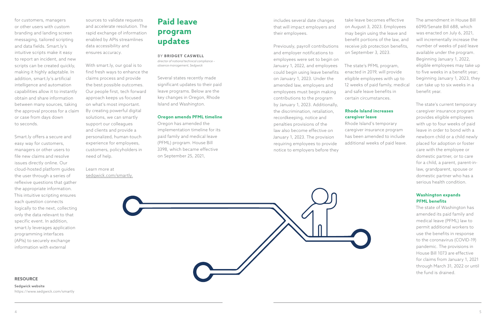for customers, managers or other users with custom branding and landing screen messaging, tailored scripting and data fields. Smart.ly's intuitive scripts make it easy to report an incident, and new scripts can be created quickly, making it highly adaptable. In addition, smart.ly's artificial intelligence and automation capabilities allow it to instantly obtain and share information between many sources, taking the approval process for a claim or case from days down to seconds.

Smart.ly offers a secure and easy way for customers, managers or other users to file new claims and resolve issues directly online. Our cloud-hosted platform guides the user through a series of reflexive questions that gather the appropriate information. This intuitive scripting ensures each question connects logically to the next, collecting only the data relevant to that specific event. In addition, smart.ly leverages application programming interfaces (APIs) to securely exchange information with external

sources to validate requests and accelerate resolution. The rapid exchange of information enabled by APIs streamlines data accessibility and ensures accuracy.

With smart.ly, our goal is to find fresh ways to enhance the claims process and provide the best possible outcomes. Our people first, tech forward approach keeps us focused on what's most important. By creating powerful digital solutions, we can smartly support our colleagues and clients and provide a personalized, human-touch experience for employees, customers, policyholders in need of help.

Learn more at sedgwick.com/smartly.

# **Paid leave program updates**

## BY **BRIDGET CASWELL**

*director of national technical compliance – absence management, Sedgwick*

Several states recently made significant updates to their paid leave programs. Below are the key changes in Oregon, Rhode Island and Washington.

## **Oregon amends PFML timeline**

Oregon has amended the implementation timeline for its paid family and medical leave (PFML) program. House Bill 3398, which became effective on September 25, 2021,

includes several date changes that will impact employers and their employees.

Previously, payroll contributions and employer notifications to employees were set to begin on January 1, 2022, and employees could begin using leave benefits on January 1, 2023. Under the amended law, employers and employees must begin making contributions to the program by January 1, 2023. Additionally, the discrimination, retaliation, recordkeeping, notice and penalties provisions of the law also become effective on January 1, 2023. The provision requiring employees to provide notice to employers before they

take leave becomes effective on August 3, 2023. Employees may begin using the leave and benefit portions of the law, and receive job protection benefits, on September 3, 2023.

The state's PFML program, enacted in 2019, will provide eligible employees with up to 12 weeks of paid family, medical and safe leave benefits in certain circumstances.

# **Rhode Island increases caregiver leave**

Rhode Island's temporary caregiver insurance program has been amended to include additional weeks of paid leave.





The state's current temporary caregiver insurance program provides eligible employees with up to four weeks of paid leave in order to bond with a newborn child or a child newly placed for adoption or foster care with the employee or domestic partner, or to care for a child, a parent, parent-inlaw, grandparent, spouse or domestic partner who has a serious health condition.

# **Washington expands PFML benefits**

The state of Washington has amended its paid family and medical leave (PFML) law to permit additional workers to use the benefits in response to the coronavirus (COVID-19) pandemic. The provisions in House Bill 1073 are effective for claims from January 1, 2021 through March 31, 2022 or until the fund is drained.

# **RESOURCE**

Sedgwick website https://www.sedgwick.com/smartly